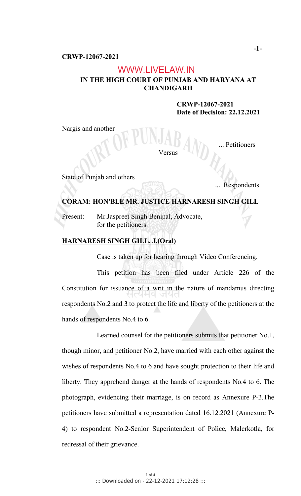# WWW.LIVELAW.IN

# **IN THE HIGH COURT OF PUNJAB AND HARYANA AT CHANDIGARH**

 **CRWP-12067-2021 Date of Decision: 22.12.2021**

Nargis and another

ersus

... Petitioners

State of Punjab and others

... Respondents

## **CORAM: HON'BLE MR. JUSTICE HARNARESH SINGH GILL**

Present: Mr.Jaspreet Singh Benipal, Advocate, for the petitioners.

# **HARNARESH SINGH GILL, J.(Oral)**

Case is taken up for hearing through Video Conferencing.

This petition has been filed under Article 226 of the Constitution for issuance of a writ in the nature of mandamus directing respondents No.2 and 3 to protect the life and liberty of the petitioners at the hands of respondents No.4 to 6.

Learned counsel for the petitioners submits that petitioner No.1, though minor, and petitioner No.2, have married with each other against the wishes of respondents No.4 to 6 and have sought protection to their life and liberty. They apprehend danger at the hands of respondents No.4 to 6. The photograph, evidencing their marriage, is on record as Annexure P-3.The petitioners have submitted a representation dated 16.12.2021 (Annexure P-4) to respondent No.2-Senior Superintendent of Police, Malerkotla, for redressal of their grievance.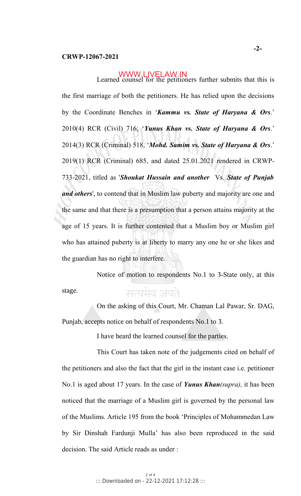## WWW.LIVELAW.IN

Learned counsel for the petitioners further submits that this is the first marriage of both the petitioners. He has relied upon the decisions by the Coordinate Benches in '*Kammu vs. State of Haryana & Ors*.' 2010(4) RCR (Civil) 716; '*Yunus Khan vs. State of Haryana & Ors*.' 2014(3) RCR (Criminal) 518, '*Mohd. Samim vs. State of Haryana & Ors*.' 2019(1) RCR (Criminal) 685, and dated 25.01.2021 rendered in CRWP-733-2021, titled as '*Shoukat Hussain and another* Vs. *State of Punjab and others*', to contend that in Muslim law puberty and majority are one and the same and that there is a presumption that a person attains majority at the age of 15 years. It is further contented that a Muslim boy or Muslim girl who has attained puberty is at liberty to marry any one he or she likes and the guardian has no right to interfere.

Notice of motion to respondents No.1 to 3-State only, at this stage. सत्यमेव जयते

On the asking of this Court, Mr. Chaman Lal Pawar, Sr. DAG, Punjab, accepts notice on behalf of respondents No.1 to 3.

I have heard the learned counsel for the parties.

This Court has taken note of the judgements cited on behalf of the petitioners and also the fact that the girl in the instant case i.e. petitioner No.1 is aged about 17 years. In the case of *Yunus Khan(supra),* it has been noticed that the marriage of a Muslim girl is governed by the personal law of the Muslims. Article 195 from the book 'Principles of Mohammedan Law by Sir Dinshah Fardunji Mulla' has also been reproduced in the said decision. The said Article reads as under :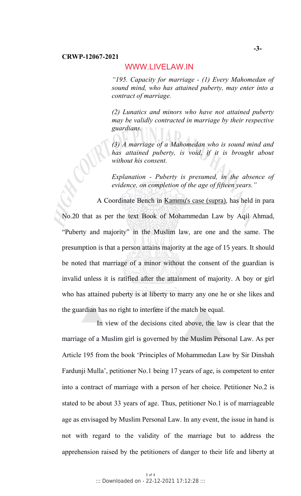#### **CRWP-12067-2021**

### WWW.LIVELAW.IN

*"195. Capacity for marriage - (1) Every Mahomedan of sound mind, who has attained puberty, may enter into a contract of marriage.*

*(2) Lunatics and minors who have not attained puberty may be validly contracted in marriage by their respective guardians.*

*(3) A marriage of a Mahomedan who is sound mind and has attained puberty, is void, if it is brought about without his consent.*

*Explanation - Puberty is presumed, in the absence of evidence, on completion of the age of fifteen years."*

A Coordinate Bench in Kammu's case (supra), has held in para No.20 that as per the text Book of Mohammedan Law by Aqil Ahmad, "Puberty and majority" in the Muslim law, are one and the same. The presumption is that a person attains majority at the age of 15 years. It should be noted that marriage of a minor without the consent of the guardian is invalid unless it is ratified after the attainment of majority. A boy or girl who has attained puberty is at liberty to marry any one he or she likes and the guardian has no right to interfere if the match be equal.

In view of the decisions cited above, the law is clear that the marriage of a Muslim girl is governed by the Muslim Personal Law. As per Article 195 from the book 'Principles of Mohammedan Law by Sir Dinshah Fardunji Mulla', petitioner No.1 being 17 years of age, is competent to enter into a contract of marriage with a person of her choice. Petitioner No.2 is stated to be about 33 years of age. Thus, petitioner No.1 is of marriageable age as envisaged by Muslim Personal Law. In any event, the issue in hand is not with regard to the validity of the marriage but to address the apprehension raised by the petitioners of danger to their life and liberty at